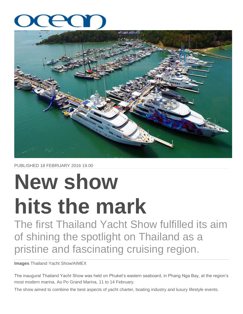

PUBLISHED 18 FEBRUARY 2016 19.00

## **New show hits the mark**

The first Thailand Yacht Show fulfilled its aim of shining the spotlight on Thailand as a pristine and fascinating cruising region.

**Images** Thailand Yacht Show/AIMEX

The inaugural Thailand Yacht Show was held on Phuket"s eastern seaboard, in Phang Nga Bay, at the region"s most modern marina, Ao Po Grand Marina, 11 to 14 February.

The show aimed to combine the best aspects of yacht charter, boating industry and luxury lifestyle events.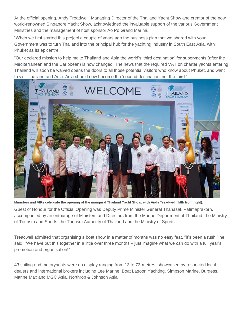At the official opening, Andy Treadwell, Managing Director of the Thailand Yacht Show and creator of the now world-renowned Singapore Yacht Show, acknowledged the invaluable support of the various Government Ministries and the management of host sponsor Ao Po Grand Marina.

"When we first started this project a couple of years ago the business plan that we shared with your Government was to turn Thailand into the principal hub for the yachting industry in South East Asia, with Phuket as its epicentre.

"Our declared mission to help make Thailand and Asia the world"s "third destination" for superyachts (after the Mediterranean and the Caribbean) is now changed. The news that the required VAT on charter yachts entering Thailand will soon be waived opens the doors to all those potential visitors who know about Phuket, and want to visit Thailand and Asia. Asia should now become the "second destination" not the third."



**Ministers and VIPs celebrate the opening of the inaugural Thailand Yacht Show, with Andy Treadwell (fifth from right).**

Guest of Honour for the Official Opening was Deputy Prime Minister General Thanasak Patimaprakorn, accompanied by an entourage of Ministers and Directors from the Marine Department of Thailand, the Ministry of Tourism and Sports, the Tourism Authority of Thailand and the Ministry of Sports.

Treadwell admitted that organising a boat show in a matter of months was no easy feat. "It"s been a rush," he said. "We have put this together in a little over three months – just imagine what we can do with a full year"s promotion and organisation!"

43 sailing and motoryachts were on display ranging from 13 to 73-metres, showcased by respected local dealers and international brokers including Lee Marine, Boat Lagoon Yachting, Simpson Marine, Burgess, Marine Max and MGC Asia, Northrop & Johnson Asia.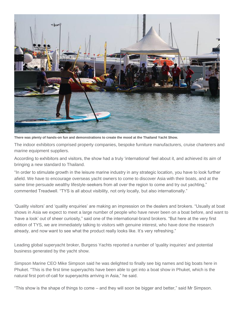

**There was plenty of hands-on fun and demonstrations to create the mood at the Thailand Yacht Show.**

The indoor exhibitors comprised property companies, bespoke furniture manufacturers, cruise charterers and marine equipment suppliers.

According to exhibitors and visitors, the show had a truly "international" feel about it, and achieved its aim of bringing a new standard to Thailand.

"In order to stimulate growth in the leisure marine industry in any strategic location, you have to look further afield. We have to encourage overseas yacht owners to come to discover Asia with their boats, and at the same time persuade wealthy lifestyle-seekers from all over the region to come and try out yachting," commented Treadwell. "TYS is all about visibility, not only locally, but also internationally."

"Quality visitors" and "quality enquiries" are making an impression on the dealers and brokers. "Usually at boat shows in Asia we expect to meet a large number of people who have never been on a boat before, and want to "have a look" out of sheer curiosity," said one of the international-brand brokers. "But here at the very first edition of TYS, we are immediately talking to visitors with genuine interest, who have done the research already, and now want to see what the product really looks like. It's very refreshing."

Leading global superyacht broker, Burgess Yachts reported a number of 'quality inquiries' and potential business generated by the yacht show.

Simpson Marine CEO Mike Simpson said he was delighted to finally see big names and big boats here in Phuket. "This is the first time superyachts have been able to get into a boat show in Phuket, which is the natural first port-of-call for superyachts arriving in Asia," he said.

"This show is the shape of things to come – and they will soon be bigger and better," said Mr Simpson.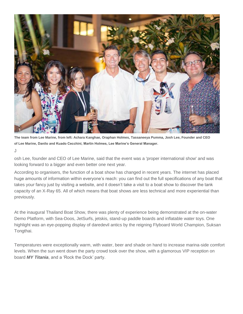

**The team from Lee Marine, from left: Achara Kanghae, Oraphan Holmes, Tassaneeya Pumma, Josh Lee, Founder and CEO of Lee Marine, Danilo and Kuado Cecchini, Martin Holmes, Lee Marine's General Manager.**

J

osh Lee, founder and CEO of Lee Marine, said that the event was a 'proper international show' and was looking forward to a bigger and even better one next year.

According to organisers, the function of a boat show has changed in recent years. The internet has placed huge amounts of information within everyone"s reach: you can find out the full specifications of any boat that takes your fancy just by visiting a website, and it doesn"t take a visit to a boat show to discover the tank capacity of an X-Ray 65. All of which means that boat shows are less technical and more experiential than previously.

At the inaugural Thailand Boat Show, there was plenty of experience being demonstrated at the on-water Demo Platform, with Sea-Doos, JetSurfs, jetskis, stand-up paddle boards and inflatable water toys. One highlight was an eye-popping display of daredevil antics by the reigning Flyboard World Champion, Suksan Tongthai.

Temperatures were exceptionally warm, with water, beer and shade on hand to increase marina-side comfort levels. When the sun went down the party crowd took over the show, with a glamorous VIP reception on board *MY Titania*, and a "Rock the Dock" party.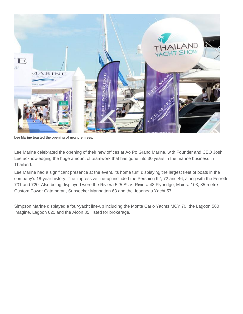

**Lee Marine toasted the opening of new premises.**

Lee Marine celebrated the opening of their new offices at Ao Po Grand Marina, with Founder and CEO Josh Lee acknowledging the huge amount of teamwork that has gone into 30 years in the marine business in Thailand.

Lee Marine had a significant presence at the event, its home turf, displaying the largest fleet of boats in the company"s 18-year history. The impressive line-up included the Pershing 92, 72 and 46, along with the Ferretti 731 and 720. Also being displayed were the Riviera 525 SUV, Riviera 48 Flybridge, Maiora 103, 35-metre Custom Power Catamaran, Sunseeker Manhattan 63 and the Jeanneau Yacht 57.

Simpson Marine displayed a four-yacht line-up including the Monte Carlo Yachts MCY 70, the Lagoon 560 Imagine, Lagoon 620 and the Aicon 85, listed for brokerage.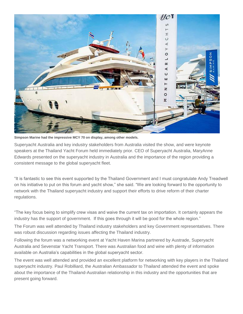

**Simpson Marine had the impressive MCY 70 on display, among other models.**

Superyacht Australia and key industry stakeholders from Australia visited the show, and were keynote speakers at the Thailand Yacht Forum held immediately prior. CEO of Superyacht Australia, MaryAnne Edwards presented on the superyacht industry in Australia and the importance of the region providing a consistent message to the global superyacht fleet.

"It is fantastic to see this event supported by the Thailand Government and I must congratulate Andy Treadwell on his initiative to put on this forum and yacht show," she said. "We are looking forward to the opportunity to network with the Thailand superyacht industry and support their efforts to drive reform of their charter regulations.

"The key focus being to simplify crew visas and waive the current tax on importation. It certainly appears the industry has the support of government. If this goes through it will be good for the whole region."

The Forum was well attended by Thailand industry stakeholders and key Government representatives. There was robust discussion regarding issues affecting the Thailand industry.

Following the forum was a networking event at Yacht Haven Marina partnered by Austrade, Superyacht Australia and Sevenstar Yacht Transport. There was Australian food and wine with plenty of information available on Australia"s capabilities in the global superyacht sector.

The event was well attended and provided an excellent platform for networking with key players in the Thailand superyacht industry. Paul Robilliard, the Australian Ambassador to Thailand attended the event and spoke about the importance of the Thailand-Australian relationship in this industry and the opportunities that are present going forward.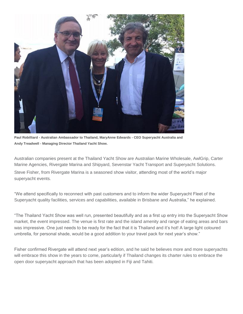

**Paul Robilliard - Australian Ambassador to Thailand, MaryAnne Edwards - CEO Superyacht Australia and Andy Treadwell - Managing Director Thailand Yacht Show.**

Australian companies present at the Thailand Yacht Show are Australian Marine Wholesale, AwlGrip, Carter Marine Agencies, Rivergate Marina and Shipyard, Sevenstar Yacht Transport and Superyacht Solutions. Steve Fisher, from Rivergate Marina is a seasoned show visitor, attending most of the world"s major superyacht events.

"We attend specifically to reconnect with past customers and to inform the wider Superyacht Fleet of the Superyacht quality facilities, services and capabilities, available in Brisbane and Australia," he explained.

"The Thailand Yacht Show was well run, presented beautifully and as a first up entry into the Superyacht Show market, the event impressed. The venue is first rate and the island amenity and range of eating areas and bars was impressive. One just needs to be ready for the fact that it is Thailand and it"s hot! A large light coloured umbrella, for personal shade, would be a good addition to your travel pack for next year"s show."

Fisher confirmed Rivergate will attend next year"s edition, and he said he believes more and more superyachts will embrace this show in the years to come, particularly if Thailand changes its charter rules to embrace the open door superyacht approach that has been adopted in Fiji and Tahiti.